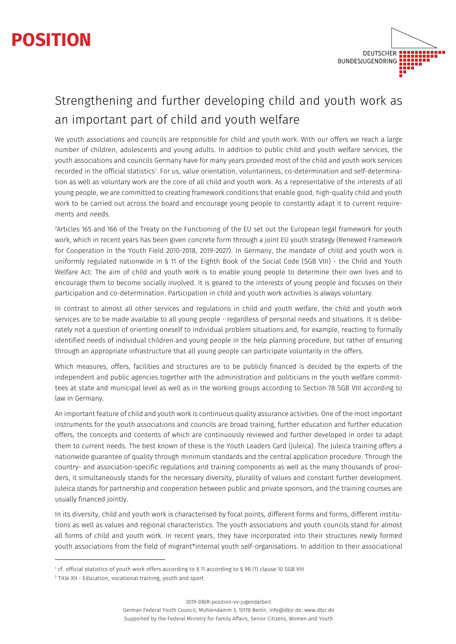# **POSITION**



## Strengthening and further developing child and youth work as an important part of child and youth welfare

We youth associations and councils are responsible for child and youth work. With our offers we reach a large number of children, adolescents and young adults. In addition to public child and youth welfare services, the youth associations and councils Germany have for many years provided most of the child and youth work services recorded in the official statistics<sup>1</sup>. For us, value orientation, voluntariness, co-determination and self-determination as well as voluntary work are the core of all child and youth work. As a representative of the interests of all young people, we are committed to creating framework conditions that enable good, high-quality child and youth work to be carried out across the board and encourage young people to constantly adapt it to current requirements and needs.

2 Articles 165 and 166 of the Treaty on the Functioning of the EU set out the European legal framework for youth work, which in recent years has been given concrete form through a joint EU youth strategy (Renewed Framework for Cooperation in the Youth Field 2010-2018, 2019-2027). In Germany, the mandate of child and youth work is uniformly regulated nationwide in § 11 of the Eighth Book of the Social Code (SGB VIII) - the Child and Youth Welfare Act: The aim of child and youth work is to enable young people to determine their own lives and to encourage them to become socially involved. It is geared to the interests of young people and focuses on their participation and co-determination. Participation in child and youth work activities is always voluntary.

In contrast to almost all other services and regulations in child and youth welfare, the child and youth work services are to be made available to all young people - regardless of personal needs and situations. It is deliberately not a question of orienting oneself to individual problem situations and, for example, reacting to formally identified needs of individual children and young people in the help planning procedure, but rather of ensuring through an appropriate infrastructure that all young people can participate voluntarily in the offers.

Which measures, offers, facilities and structures are to be publicly financed is decided by the experts of the independent and public agencies together with the administration and politicians in the youth welfare committees at state and municipal level as well as in the working groups according to Section 78 SGB VIII according to law in Germany.

An important feature of child and youth work is continuous quality assurance activities. One of the most important instruments for the youth associations and councils are broad training, further education and further education offers, the concepts and contents of which are continuously reviewed and further developed in order to adapt them to current needs. The best known of these is the Youth Leaders Card (Juleica). The Juleica training offers a nationwide guarantee of quality through minimum standards and the central application procedure. Through the country- and association-specific regulations and training components as well as the many thousands of providers, it simultaneously stands for the necessary diversity, plurality of values and constant further development. Juleica stands for partnership and cooperation between public and private sponsors, and the training courses are usually financed jointly.

In its diversity, child and youth work is characterised by focal points, different forms and forms, different institutions as well as values and regional characteristics. The youth associations and youth councils stand for almost all forms of child and youth work. In recent years, they have incorporated into their structures newly formed youth associations from the field of migrant\*internal youth self-organisations. In addition to their associational

2019-DBJR-position-vv-jugendarbeit

<sup>1</sup> cf. official statistics of youth work offers according to § 11 according to § 98 (1) clause 10 SGB VIII

<sup>2</sup> Title XII - Education, vocational training, youth and sport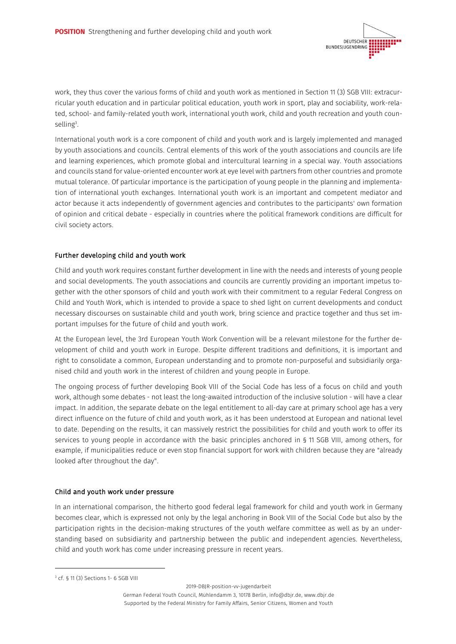

work, they thus cover the various forms of child and youth work as mentioned in Section 11 (3) SGB VIII: extracurricular youth education and in particular political education, youth work in sport, play and sociability, work-related, school- and family-related youth work, international youth work, child and youth recreation and youth counselling<sup>3</sup>.

International youth work is a core component of child and youth work and is largely implemented and managed by youth associations and councils. Central elements of this work of the youth associations and councils are life and learning experiences, which promote global and intercultural learning in a special way. Youth associations and councils stand for value-oriented encounter work at eye level with partners from other countries and promote mutual tolerance. Of particular importance is the participation of young people in the planning and implementation of international youth exchanges. International youth work is an important and competent mediator and actor because it acts independently of government agencies and contributes to the participants' own formation of opinion and critical debate - especially in countries where the political framework conditions are difficult for civil society actors.

### Further developing child and youth work

Child and youth work requires constant further development in line with the needs and interests of young people and social developments. The youth associations and councils are currently providing an important impetus together with the other sponsors of child and youth work with their commitment to a regular Federal Congress on Child and Youth Work, which is intended to provide a space to shed light on current developments and conduct necessary discourses on sustainable child and youth work, bring science and practice together and thus set important impulses for the future of child and youth work.

At the European level, the 3rd European Youth Work Convention will be a relevant milestone for the further development of child and youth work in Europe. Despite different traditions and definitions, it is important and right to consolidate a common, European understanding and to promote non-purposeful and subsidiarily organised child and youth work in the interest of children and young people in Europe.

The ongoing process of further developing Book VIII of the Social Code has less of a focus on child and youth work, although some debates - not least the long-awaited introduction of the inclusive solution - will have a clear impact. In addition, the separate debate on the legal entitlement to all-day care at primary school age has a very direct influence on the future of child and youth work, as it has been understood at European and national level to date. Depending on the results, it can massively restrict the possibilities for child and youth work to offer its services to young people in accordance with the basic principles anchored in § 11 SGB VIII, among others, for example, if municipalities reduce or even stop financial support for work with children because they are "already looked after throughout the day".

#### Child and youth work under pressure

In an international comparison, the hitherto good federal legal framework for child and youth work in Germany becomes clear, which is expressed not only by the legal anchoring in Book VIII of the Social Code but also by the participation rights in the decision-making structures of the youth welfare committee as well as by an understanding based on subsidiarity and partnership between the public and independent agencies. Nevertheless, child and youth work has come under increasing pressure in recent years.

2019-DBJR-position-vv-jugendarbeit

<sup>3</sup> cf. § 11 (3) Sections 1- 6 SGB VIII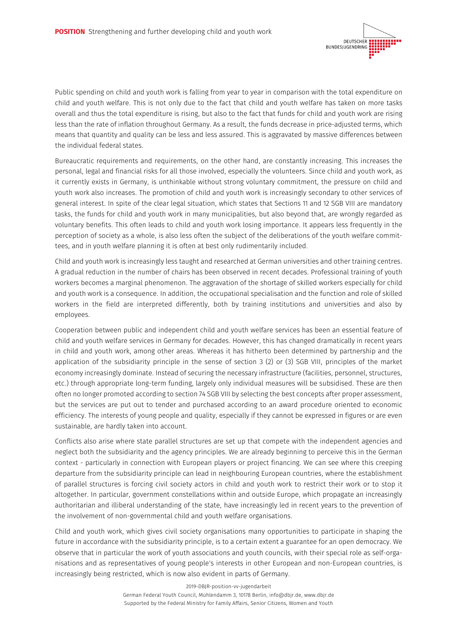

Public spending on child and youth work is falling from year to year in comparison with the total expenditure on child and youth welfare. This is not only due to the fact that child and youth welfare has taken on more tasks overall and thus the total expenditure is rising, but also to the fact that funds for child and youth work are rising less than the rate of inflation throughout Germany. As a result, the funds decrease in price-adjusted terms, which means that quantity and quality can be less and less assured. This is aggravated by massive differences between the individual federal states.

Bureaucratic requirements and requirements, on the other hand, are constantly increasing. This increases the personal, legal and financial risks for all those involved, especially the volunteers. Since child and youth work, as it currently exists in Germany, is unthinkable without strong voluntary commitment, the pressure on child and youth work also increases. The promotion of child and youth work is increasingly secondary to other services of general interest. In spite of the clear legal situation, which states that Sections 11 and 12 SGB VIII are mandatory tasks, the funds for child and youth work in many municipalities, but also beyond that, are wrongly regarded as voluntary benefits. This often leads to child and youth work losing importance. It appears less frequently in the perception of society as a whole, is also less often the subject of the deliberations of the youth welfare committees, and in youth welfare planning it is often at best only rudimentarily included.

Child and youth work is increasingly less taught and researched at German universities and other training centres. A gradual reduction in the number of chairs has been observed in recent decades. Professional training of youth workers becomes a marginal phenomenon. The aggravation of the shortage of skilled workers especially for child and youth work is a consequence. In addition, the occupational specialisation and the function and role of skilled workers in the field are interpreted differently, both by training institutions and universities and also by employees.

Cooperation between public and independent child and youth welfare services has been an essential feature of child and youth welfare services in Germany for decades. However, this has changed dramatically in recent years in child and youth work, among other areas. Whereas it has hitherto been determined by partnership and the application of the subsidiarity principle in the sense of section 3 (2) or (3) SGB VIII, principles of the market economy increasingly dominate. Instead of securing the necessary infrastructure (facilities, personnel, structures, etc.) through appropriate long-term funding, largely only individual measures will be subsidised. These are then often no longer promoted according to section 74 SGB VIII by selecting the best concepts after proper assessment, but the services are put out to tender and purchased according to an award procedure oriented to economic efficiency. The interests of young people and quality, especially if they cannot be expressed in figures or are even sustainable, are hardly taken into account.

Conflicts also arise where state parallel structures are set up that compete with the independent agencies and neglect both the subsidiarity and the agency principles. We are already beginning to perceive this in the German context - particularly in connection with European players or project financing. We can see where this creeping departure from the subsidiarity principle can lead in neighbouring European countries, where the establishment of parallel structures is forcing civil society actors in child and youth work to restrict their work or to stop it altogether. In particular, government constellations within and outside Europe, which propagate an increasingly authoritarian and illiberal understanding of the state, have increasingly led in recent years to the prevention of the involvement of non-governmental child and youth welfare organisations.

Child and youth work, which gives civil society organisations many opportunities to participate in shaping the future in accordance with the subsidiarity principle, is to a certain extent a guarantee for an open democracy. We observe that in particular the work of youth associations and youth councils, with their special role as self-organisations and as representatives of young people's interests in other European and non-European countries, is increasingly being restricted, which is now also evident in parts of Germany.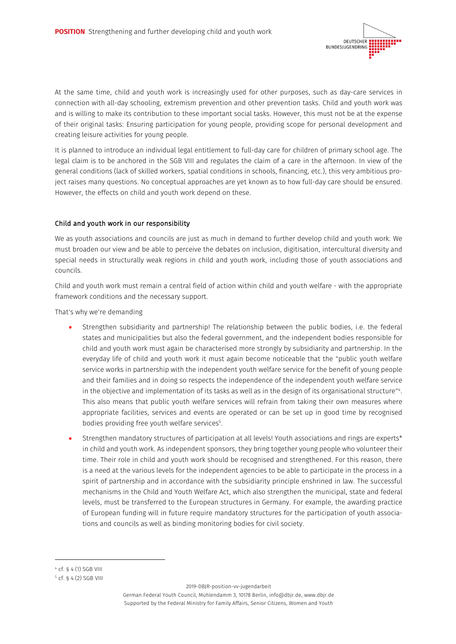

At the same time, child and youth work is increasingly used for other purposes, such as day-care services in connection with all-day schooling, extremism prevention and other prevention tasks. Child and youth work was and is willing to make its contribution to these important social tasks. However, this must not be at the expense of their original tasks: Ensuring participation for young people, providing scope for personal development and creating leisure activities for young people.

It is planned to introduce an individual legal entitlement to full-day care for children of primary school age. The legal claim is to be anchored in the SGB VIII and regulates the claim of a care in the afternoon. In view of the general conditions (lack of skilled workers, spatial conditions in schools, financing, etc.), this very ambitious project raises many questions. No conceptual approaches are yet known as to how full-day care should be ensured. However, the effects on child and youth work depend on these.

### Child and youth work in our responsibility

We as youth associations and councils are just as much in demand to further develop child and youth work. We must broaden our view and be able to perceive the debates on inclusion, digitisation, intercultural diversity and special needs in structurally weak regions in child and youth work, including those of youth associations and councils.

Child and youth work must remain a central field of action within child and youth welfare - with the appropriate framework conditions and the necessary support.

That's why we're demanding

- Strengthen subsidiarity and partnership! The relationship between the public bodies, i.e. the federal states and municipalities but also the federal government, and the independent bodies responsible for child and youth work must again be characterised more strongly by subsidiarity and partnership. In the everyday life of child and youth work it must again become noticeable that the "public youth welfare service works in partnership with the independent youth welfare service for the benefit of young people and their families and in doing so respects the independence of the independent youth welfare service in the objective and implementation of its tasks as well as in the design of its organisational structure"4 . This also means that public youth welfare services will refrain from taking their own measures where appropriate facilities, services and events are operated or can be set up in good time by recognised bodies providing free youth welfare services<sup>5</sup>.
- Strengthen mandatory structures of participation at all levels! Youth associations and rings are experts\* in child and youth work. As independent sponsors, they bring together young people who volunteer their time. Their role in child and youth work should be recognised and strengthened. For this reason, there is a need at the various levels for the independent agencies to be able to participate in the process in a spirit of partnership and in accordance with the subsidiarity principle enshrined in law. The successful mechanisms in the Child and Youth Welfare Act, which also strengthen the municipal, state and federal levels, must be transferred to the European structures in Germany. For example, the awarding practice of European funding will in future require mandatory structures for the participation of youth associations and councils as well as binding monitoring bodies for civil society.

2019-DBJR-position-vv-jugendarbeit

<sup>4</sup> cf. § 4 (1) SGB VIII

<sup>5</sup> cf. § 4 (2) SGB VIII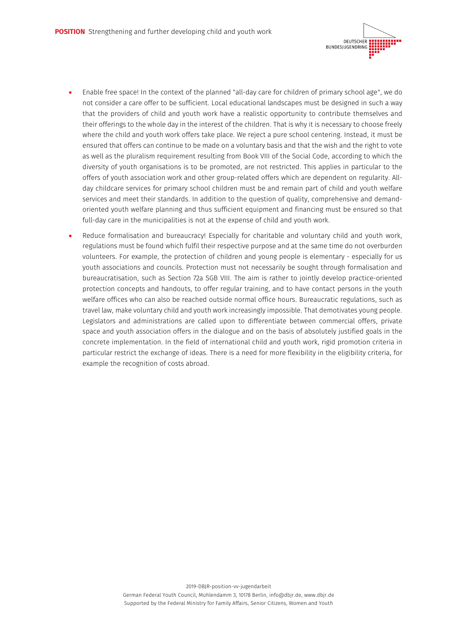

- Enable free space! In the context of the planned "all-day care for children of primary school age", we do not consider a care offer to be sufficient. Local educational landscapes must be designed in such a way that the providers of child and youth work have a realistic opportunity to contribute themselves and their offerings to the whole day in the interest of the children. That is why it is necessary to choose freely where the child and youth work offers take place. We reject a pure school centering. Instead, it must be ensured that offers can continue to be made on a voluntary basis and that the wish and the right to vote as well as the pluralism requirement resulting from Book VIII of the Social Code, according to which the diversity of youth organisations is to be promoted, are not restricted. This applies in particular to the offers of youth association work and other group-related offers which are dependent on regularity. Allday childcare services for primary school children must be and remain part of child and youth welfare services and meet their standards. In addition to the question of quality, comprehensive and demandoriented youth welfare planning and thus sufficient equipment and financing must be ensured so that full-day care in the municipalities is not at the expense of child and youth work.
- Reduce formalisation and bureaucracy! Especially for charitable and voluntary child and youth work, regulations must be found which fulfil their respective purpose and at the same time do not overburden volunteers. For example, the protection of children and young people is elementary - especially for us youth associations and councils. Protection must not necessarily be sought through formalisation and bureaucratisation, such as Section 72a SGB VIII. The aim is rather to jointly develop practice-oriented protection concepts and handouts, to offer regular training, and to have contact persons in the youth welfare offices who can also be reached outside normal office hours. Bureaucratic regulations, such as travel law, make voluntary child and youth work increasingly impossible. That demotivates young people. Legislators and administrations are called upon to differentiate between commercial offers, private space and youth association offers in the dialogue and on the basis of absolutely justified goals in the concrete implementation. In the field of international child and youth work, rigid promotion criteria in particular restrict the exchange of ideas. There is a need for more flexibility in the eligibility criteria, for example the recognition of costs abroad.

2019-DBJR-position-vv-jugendarbeit